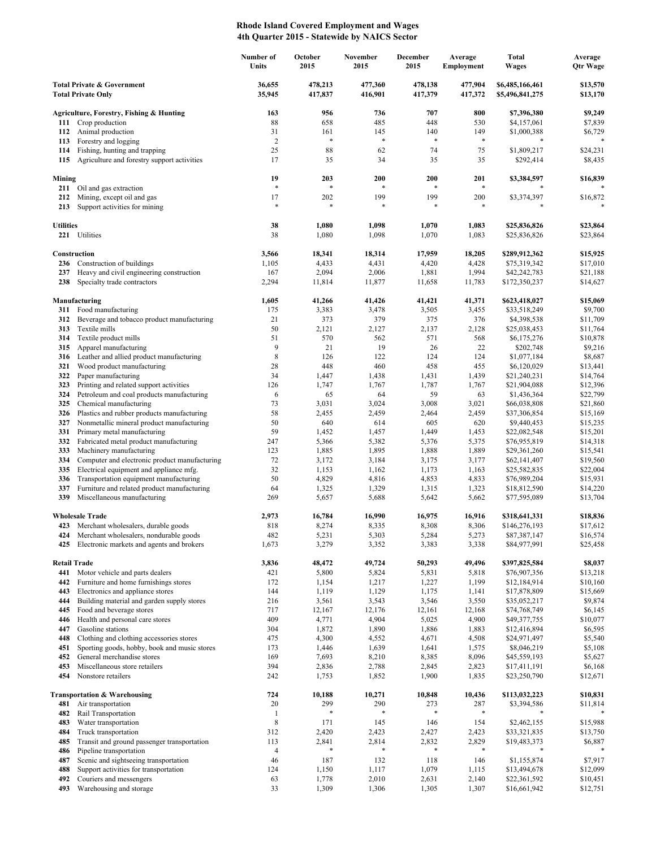## **Rhode Island Covered Employment and Wages 4th Quarter 2015 - Statewide by NAICS Sector**

|                                                                    |                                                                                          | Number of<br>Units          | October<br>2015    | November<br>2015   | December<br>2015   | Average<br><b>Employment</b> | Total<br><b>Wages</b>              | Average<br><b>Qtr Wage</b> |
|--------------------------------------------------------------------|------------------------------------------------------------------------------------------|-----------------------------|--------------------|--------------------|--------------------|------------------------------|------------------------------------|----------------------------|
| <b>Total Private &amp; Government</b><br><b>Total Private Only</b> |                                                                                          | 36,655<br>35,945            | 478,213<br>417,837 | 477,360<br>416,901 | 478,138<br>417,379 | 477,904<br>417,372           | \$6,485,166,461<br>\$5,496,841,275 | \$13,570<br>\$13,170       |
|                                                                    | Agriculture, Forestry, Fishing & Hunting                                                 | 163                         | 956                | 736                | 707                | 800                          | \$7,396,380                        | \$9,249                    |
| 111                                                                | Crop production                                                                          | 88                          | 658                | 485                | 448                | 530                          | \$4,157,061                        | \$7,839                    |
| 112                                                                | Animal production                                                                        | 31                          | 161                | 145                | 140                | 149                          | \$1,000,388                        | \$6,729                    |
| 113                                                                | Forestry and logging                                                                     | $\overline{c}$              | $\ast$             | $\ast$             | $\ast$             | $\ast$                       |                                    |                            |
| 114<br>115                                                         | Fishing, hunting and trapping<br>Agriculture and forestry support activities             | 25<br>17                    | 88<br>35           | 62<br>34           | 74<br>35           | 75<br>35                     | \$1,809,217<br>\$292,414           | \$24,231<br>\$8,435        |
|                                                                    |                                                                                          |                             |                    |                    |                    |                              |                                    |                            |
| Mining                                                             | 211 Oil and gas extraction                                                               | 19<br>$\ast$                | 203<br>$\ast$      | 200<br>$\ast$      | 200<br>$\ast$      | 201<br>*                     | \$3,384,597                        | \$16,839                   |
| 212<br>213                                                         | Mining, except oil and gas<br>Support activities for mining                              | 17<br>$\ast$                | 202<br>$\ast$      | 199<br>$\ast$      | 199<br>$\ast$      | 200<br>$\ast$                | \$3,374,397                        | \$16,872<br>$\ast$         |
| <b>Utilities</b>                                                   | 221 Utilities                                                                            | 38<br>38                    | 1,080<br>1,080     | 1,098<br>1,098     | 1,070<br>1,070     | 1,083<br>1,083               | \$25,836,826<br>\$25,836,826       | \$23,864<br>\$23,864       |
|                                                                    | Construction                                                                             | 3,566                       | 18,341             | 18,314             | 17,959             | 18,205                       | \$289,912,362                      | \$15,925                   |
| 236                                                                | Construction of buildings                                                                | 1,105                       | 4,433              | 4,431              | 4,420              | 4,428                        | \$75,319,342                       | \$17,010                   |
| 237                                                                | Heavy and civil engineering construction                                                 | 167                         | 2,094              | 2,006              | 1,881              | 1,994                        | \$42,242,783                       | \$21,188                   |
| 238                                                                | Specialty trade contractors                                                              | 2,294                       | 11,814             | 11,877             | 11,658             | 11,783                       | \$172,350,237                      | \$14,627                   |
|                                                                    | Manufacturing                                                                            | 1,605                       | 41,266             | 41,426             | 41,421             | 41,371                       | \$623,418,027                      | \$15,069                   |
|                                                                    | 311 Food manufacturing                                                                   | 175                         | 3,383              | 3,478              | 3,505              | 3,455                        | \$33,518,249                       | \$9,700                    |
| 313                                                                | 312 Beverage and tobacco product manufacturing<br>Textile mills                          | 21<br>50                    | 373<br>2,121       | 379<br>2,127       | 375<br>2,137       | 376<br>2,128                 | \$4,398,538<br>\$25,038,453        | \$11,709<br>\$11,764       |
| 314                                                                | Textile product mills                                                                    | 51                          | 570                | 562                | 571                | 568                          | \$6,175,276                        | \$10,878                   |
| 315                                                                | Apparel manufacturing                                                                    | 9                           | 21                 | 19                 | 26                 | 22                           | \$202,748                          | \$9,216                    |
|                                                                    | 316 Leather and allied product manufacturing                                             | 8                           | 126                | 122                | 124                | 124                          | \$1,077,184                        | \$8,687                    |
| 321                                                                | Wood product manufacturing                                                               | 28                          | 448                | 460                | 458                | 455                          | \$6,120,029                        | \$13,441                   |
| 322<br>323                                                         | Paper manufacturing<br>Printing and related support activities                           | 34<br>126                   | 1,447<br>1,747     | 1,438<br>1,767     | 1,431<br>1,787     | 1,439<br>1,767               | \$21,240,231                       | \$14,764                   |
| 324                                                                | Petroleum and coal products manufacturing                                                | 6                           | 65                 | 64                 | 59                 | 63                           | \$21,904,088<br>\$1,436,364        | \$12,396<br>\$22,799       |
| 325                                                                | Chemical manufacturing                                                                   | 73                          | 3,031              | 3,024              | 3,008              | 3,021                        | \$66,038,808                       | \$21,860                   |
| 326                                                                | Plastics and rubber products manufacturing                                               | 58                          | 2,455              | 2,459              | 2,464              | 2,459                        | \$37,306,854                       | \$15,169                   |
| 327                                                                | Nonmetallic mineral product manufacturing                                                | 50                          | 640                | 614                | 605                | 620                          | \$9,440,453                        | \$15,235                   |
| 331                                                                | Primary metal manufacturing                                                              | 59                          | 1,452              | 1,457              | 1,449              | 1,453                        | \$22,082,548                       | \$15,201                   |
| 332<br>333                                                         | Fabricated metal product manufacturing<br>Machinery manufacturing                        | 247<br>123                  | 5,366<br>1,885     | 5,382<br>1,895     | 5,376<br>1,888     | 5,375<br>1,889               | \$76,955,819<br>\$29,361,260       | \$14,318<br>\$15,541       |
| 334                                                                | Computer and electronic product manufacturing                                            | 72                          | 3,172              | 3,184              | 3,175              | 3,177                        | \$62,141,407                       | \$19,560                   |
| 335                                                                | Electrical equipment and appliance mfg.                                                  | 32                          | 1,153              | 1,162              | 1,173              | 1,163                        | \$25,582,835                       | \$22,004                   |
| 336                                                                | Transportation equipment manufacturing                                                   | 50                          | 4,829              | 4,816              | 4,853              | 4,833                        | \$76,989,204                       | \$15,931                   |
| 337                                                                | Furniture and related product manufacturing                                              | 64                          | 1,325              | 1,329              | 1,315              | 1,323                        | \$18,812,590                       | \$14,220                   |
| 339                                                                | Miscellaneous manufacturing                                                              | 269                         | 5,657              | 5,688              | 5,642              | 5,662                        | \$77,595,089                       | \$13,704                   |
|                                                                    | <b>Wholesale Trade</b>                                                                   | 2,973                       | 16,784             | 16,990             | 16,975             | 16,916                       | \$318,641,331                      | \$18,836                   |
|                                                                    | 423 Merchant wholesalers, durable goods                                                  | 818                         | 8,274              | 8,335              | 8,308              | 8,306                        | \$146,276,193                      | \$17,612                   |
|                                                                    | Merchant wholesalers, nondurable goods                                                   | 482                         | 5,231              | 5,303              | 5,284              | 5,213                        | \$87,387,147                       | \$16,574                   |
| 425                                                                | Electronic markets and agents and brokers                                                | 1,673                       | 3,279              | 3,352              | 3,383              | 3,338                        | \$84,977,991                       | \$25,458                   |
|                                                                    | <b>Retail Trade</b>                                                                      | 3,836                       | 48,472             | 49,724             | 50,293             | 49,496                       | \$397,825,584                      | \$8,037                    |
| 441<br>442                                                         | Motor vehicle and parts dealers<br>Furniture and home furnishings stores                 | 421<br>172                  | 5,800<br>1,154     | 5,824<br>1,217     | 5,831<br>1,227     | 5,818<br>1,199               | \$76,907,356<br>\$12,184,914       | \$13,218<br>\$10,160       |
| 443                                                                | Electronics and appliance stores                                                         | 144                         | 1,119              | 1,129              | 1,175              | 1,141                        | \$17,878,809                       | \$15,669                   |
| 444                                                                | Building material and garden supply stores                                               | 216                         | 3,561              | 3,543              | 3,546              | 3,550                        | \$35,052,217                       | \$9,874                    |
| 445                                                                | Food and beverage stores                                                                 | 717                         | 12,167             | 12,176             | 12,161             | 12,168                       | \$74,768,749                       | \$6,145                    |
| 446                                                                | Health and personal care stores                                                          | 409                         | 4,771              | 4,904              | 5,025              | 4,900                        | \$49,377,755                       | \$10,077                   |
| 447                                                                | Gasoline stations                                                                        | 304                         | 1,872              | 1,890              | 1,886              | 1,883                        | \$12,416,894                       | \$6,595                    |
| 448<br>451                                                         | Clothing and clothing accessories stores<br>Sporting goods, hobby, book and music stores | 475<br>173                  | 4,300<br>1,446     | 4,552<br>1,639     | 4,671<br>1,641     | 4,508<br>1,575               | \$24,971,497<br>\$8,046,219        | \$5,540<br>\$5,108         |
| 452                                                                | General merchandise stores                                                               | 169                         | 7,693              | 8,210              | 8,385              | 8,096                        | \$45,559,193                       | \$5,627                    |
| 453                                                                | Miscellaneous store retailers                                                            | 394                         | 2,836              | 2,788              | 2,845              | 2,823                        | \$17,411,191                       | \$6,168                    |
| 454                                                                | Nonstore retailers                                                                       | 242                         | 1,753              | 1,852              | 1,900              | 1,835                        | \$23,250,790                       | \$12,671                   |
|                                                                    | <b>Transportation &amp; Warehousing</b>                                                  | 724                         | 10,188             | 10,271             | 10,848             | 10,436                       | \$113,032,223                      | \$10,831                   |
| 481                                                                | Air transportation                                                                       | 20                          | 299<br>$\ast$      | 290<br>*           | 273<br>*           | 287<br>*                     | \$3,394,586                        | \$11,814                   |
| 482<br>483                                                         | Rail Transportation<br>Water transportation                                              | $\mathbf{1}$<br>$\,$ 8 $\,$ | 171                | 145                | 146                | 154                          | \$2,462,155                        | \$15,988                   |
| 484                                                                | Truck transportation                                                                     | 312                         | 2,420              | 2,423              | 2,427              | 2,423                        | \$33,321,835                       | \$13,750                   |
| 485                                                                | Transit and ground passenger transportation                                              | 113                         | 2,841              | 2,814              | 2,832              | 2,829                        | \$19,483,373                       | \$6,887                    |
| 486                                                                | Pipeline transportation                                                                  | $\overline{4}$              |                    |                    |                    | $\ast$                       |                                    |                            |
| 487                                                                | Scenic and sightseeing transportation                                                    | 46                          | 187                | 132                | 118                | 146                          | \$1,155,874                        | \$7,917                    |
| 488<br>492                                                         | Support activities for transportation                                                    | 124                         | 1,150              | 1,117              | 1,079              | 1,115                        | \$13,494,678                       | \$12,099                   |
| 493                                                                | Couriers and messengers<br>Warehousing and storage                                       | 63<br>33                    | 1,778<br>1,309     | 2,010<br>1,306     | 2,631<br>1,305     | 2,140<br>1,307               | \$22,361,592<br>\$16,661,942       | \$10,451<br>\$12,751       |
|                                                                    |                                                                                          |                             |                    |                    |                    |                              |                                    |                            |